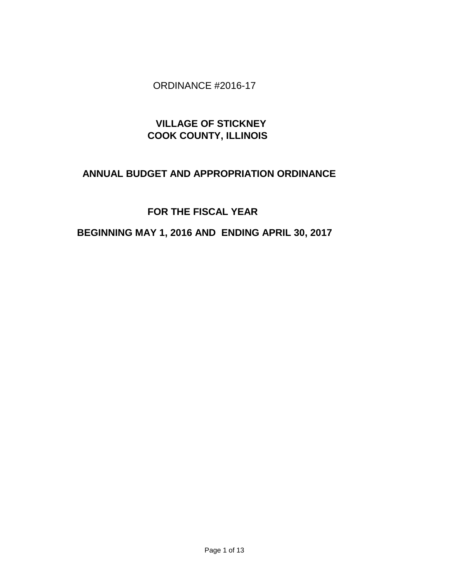## ORDINANCE #2016-17

# **VILLAGE OF STICKNEY COOK COUNTY, ILLINOIS**

# **ANNUAL BUDGET AND APPROPRIATION ORDINANCE**

# **FOR THE FISCAL YEAR**

# **BEGINNING MAY 1, 2016 AND ENDING APRIL 30, 2017**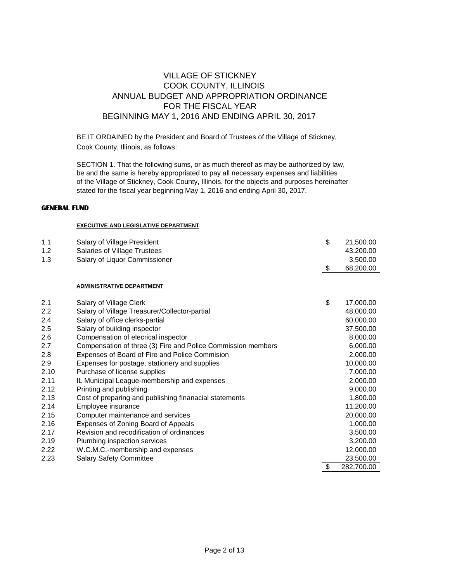## VILLAGE OF STICKNEY COOK COUNTY, ILLINOIS ANNUAL BUDGET AND APPROPRIATION ORDINANCE FOR THE FISCAL YEAR BEGINNING MAY 1, 2016 AND ENDING APRIL 30, 2017

BE IT ORDAINED by the President and Board of Trustees of the Village of Stickney, Cook County, Illinois, as follows:

SECTION 1. That the following sums, or as much thereof as may be authorized by law, be and the same is hereby appropriated to pay all necessary expenses and liabilities of the Village of Stickney, Cook County, Illinois. for the objects and purposes hereinafter stated for the fiscal year beginning May 1, 2016 and ending April 30, 2017.

#### **GENERAL FUND**

#### **EXECUTIVE AND LEGISLATIVE DEPARTMENT**

| 1.1  | Salary of Village President                                  | \$            | 21,500.00  |
|------|--------------------------------------------------------------|---------------|------------|
| 1.2  | Salaries of Village Trustees                                 |               | 43,200.00  |
| 1.3  | Salary of Liquor Commissioner                                |               | 3,500.00   |
|      |                                                              | $\sqrt[6]{3}$ | 68,200.00  |
|      |                                                              |               |            |
|      | <b>ADMINISTRATIVE DEPARTMENT</b>                             |               |            |
| 2.1  | Salary of Village Clerk                                      | \$            | 17,000.00  |
| 2.2  | Salary of Village Treasurer/Collector-partial                |               | 48,000.00  |
| 2.4  | Salary of office clerks-partial                              |               | 60,000.00  |
| 2.5  | Salary of building inspector                                 |               | 37,500.00  |
| 2.6  | Compensation of elecrical inspector                          |               | 8,000.00   |
| 2.7  | Compensation of three (3) Fire and Police Commission members |               | 6,000.00   |
| 2.8  | Expenses of Board of Fire and Police Commision               |               | 2,000.00   |
| 2.9  | Expenses for postage, stationery and supplies                |               | 10,000.00  |
| 2.10 | Purchase of license supplies                                 |               | 7,000.00   |
| 2.11 | IL Municipal League-membership and expenses                  |               | 2,000.00   |
| 2.12 | Printing and publishing                                      |               | 9,000.00   |
| 2.13 | Cost of preparing and publishing finanacial statements       |               | 1,800.00   |
| 2.14 | Employee insurance                                           |               | 11,200.00  |
| 2.15 | Computer maintenance and services                            |               | 20,000.00  |
| 2.16 | Expenses of Zoning Board of Appeals                          |               | 1,000.00   |
| 2.17 | Revision and recodification of ordinances                    |               | 3,500.00   |
| 2.19 | Plumbing inspection services                                 |               | 3,200.00   |
| 2.22 | W.C.M.C.-membership and expenses                             |               | 12,000.00  |
| 2.23 | <b>Salary Safety Committee</b>                               |               | 23,500.00  |
|      |                                                              | \$            | 282,700.00 |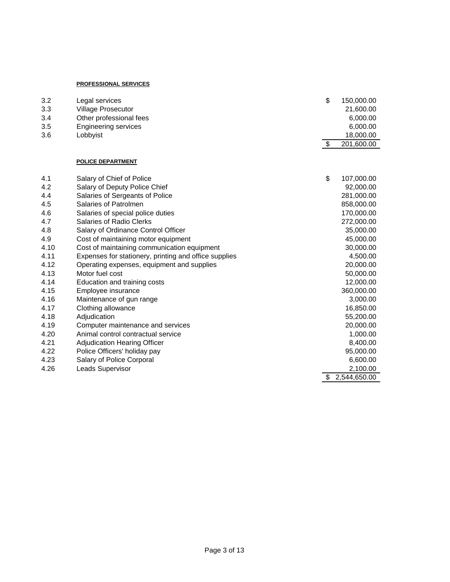#### **PROFESSIONAL SERVICES**

| 3.2  | Legal services                                        | \$<br>150,000.00   |
|------|-------------------------------------------------------|--------------------|
| 3.3  | Village Prosecutor                                    | 21,600.00          |
| 3.4  | Other professional fees                               | 6,000.00           |
| 3.5  | <b>Engineering services</b>                           | 6,000.00           |
| 3.6  | Lobbyist                                              | 18,000.00          |
|      |                                                       | \$<br>201,600.00   |
|      | POLICE DEPARTMENT                                     |                    |
| 4.1  | Salary of Chief of Police                             | \$<br>107,000.00   |
| 4.2  | Salary of Deputy Police Chief                         | 92,000.00          |
| 4.4  | Salaries of Sergeants of Police                       | 281,000.00         |
| 4.5  | Salaries of Patrolmen                                 | 858,000.00         |
| 4.6  | Salaries of special police duties                     | 170,000.00         |
| 4.7  | <b>Salaries of Radio Clerks</b>                       | 272,000.00         |
| 4.8  | Salary of Ordinance Control Officer                   | 35,000.00          |
| 4.9  | Cost of maintaining motor equipment                   | 45,000.00          |
| 4.10 | Cost of maintaining communication equipment           | 30,000.00          |
| 4.11 | Expenses for stationery, printing and office supplies | 4,500.00           |
| 4.12 | Operating expenses, equipment and supplies            | 20,000.00          |
| 4.13 | Motor fuel cost                                       | 50,000.00          |
| 4.14 | Education and training costs                          | 12,000.00          |
| 4.15 | Employee insurance                                    | 360,000.00         |
| 4.16 | Maintenance of gun range                              | 3,000.00           |
| 4.17 | Clothing allowance                                    | 16,850.00          |
| 4.18 | Adjudication                                          | 55,200.00          |
| 4.19 | Computer maintenance and services                     | 20,000.00          |
| 4.20 | Animal control contractual service                    | 1,000.00           |
| 4.21 | <b>Adjudication Hearing Officer</b>                   | 8,400.00           |
| 4.22 | Police Officers' holiday pay                          | 95,000.00          |
| 4.23 | Salary of Police Corporal                             | 6,600.00           |
| 4.26 | Leads Supervisor                                      | 2,100.00           |
|      |                                                       | \$<br>2,544,650.00 |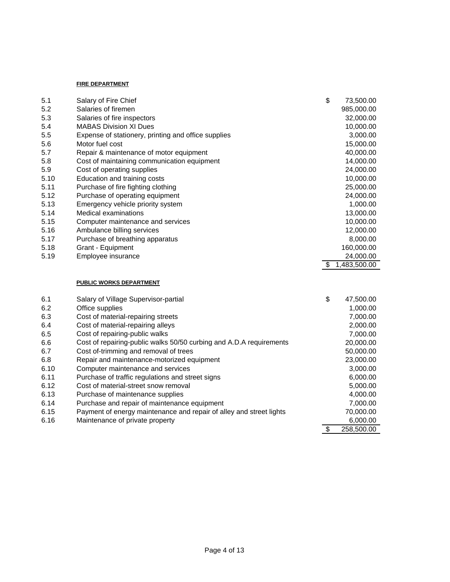#### **FIRE DEPARTMENT**

| 5.1  | Salary of Fire Chief                                                | \$<br>73,500.00    |
|------|---------------------------------------------------------------------|--------------------|
| 5.2  | Salaries of firemen                                                 | 985,000.00         |
| 5.3  | Salaries of fire inspectors                                         | 32,000.00          |
| 5.4  | <b>MABAS Division XI Dues</b>                                       | 10,000.00          |
| 5.5  | Expense of stationery, printing and office supplies                 | 3,000.00           |
| 5.6  | Motor fuel cost                                                     | 15,000.00          |
| 5.7  | Repair & maintenance of motor equipment                             | 40,000.00          |
| 5.8  | Cost of maintaining communication equipment                         | 14,000.00          |
| 5.9  | Cost of operating supplies                                          | 24,000.00          |
| 5.10 | Education and training costs                                        | 10,000.00          |
| 5.11 | Purchase of fire fighting clothing                                  | 25,000.00          |
| 5.12 | Purchase of operating equipment                                     | 24,000.00          |
| 5.13 | Emergency vehicle priority system                                   | 1,000.00           |
| 5.14 | Medical examinations                                                | 13,000.00          |
| 5.15 | Computer maintenance and services                                   | 10,000.00          |
| 5.16 | Ambulance billing services                                          | 12,000.00          |
| 5.17 | Purchase of breathing apparatus                                     | 8,000.00           |
| 5.18 | Grant - Equipment                                                   | 160,000.00         |
| 5.19 | Employee insurance                                                  | 24,000.00          |
|      |                                                                     | \$<br>1,483,500.00 |
|      |                                                                     |                    |
|      | <b>PUBLIC WORKS DEPARTMENT</b>                                      |                    |
| 6.1  | Salary of Village Supervisor-partial                                | \$<br>47,500.00    |
| 6.2  | Office supplies                                                     | 1,000.00           |
| 6.3  | Cost of material-repairing streets                                  | 7,000.00           |
| 6.4  | Cost of material-repairing alleys                                   | 2,000.00           |
| 6.5  | Cost of repairing-public walks                                      | 7,000.00           |
| 6.6  | Cost of repairing-public walks 50/50 curbing and A.D.A requirements | 20,000.00          |
| 6.7  | Cost of-trimming and removal of trees                               | 50,000.00          |
| 6.8  | Repair and maintenance-motorized equipment                          | 23,000.00          |
| 6.10 | Computer maintenance and services                                   | 3,000.00           |
| 6.11 | Purchase of traffic regulations and street signs                    | 6,000.00           |
| 6.12 | Cost of material-street snow removal                                | 5,000.00           |
| 6.13 | Purchase of maintenance supplies                                    | 4,000.00           |
| 6.14 | Purchase and repair of maintenance equipment                        | 7,000.00           |
| 6.15 | Payment of energy maintenance and repair of alley and street lights | 70,000.00          |
| 6.16 | Maintenance of private property                                     | 6,000.00           |
|      |                                                                     | \$<br>258,500.00   |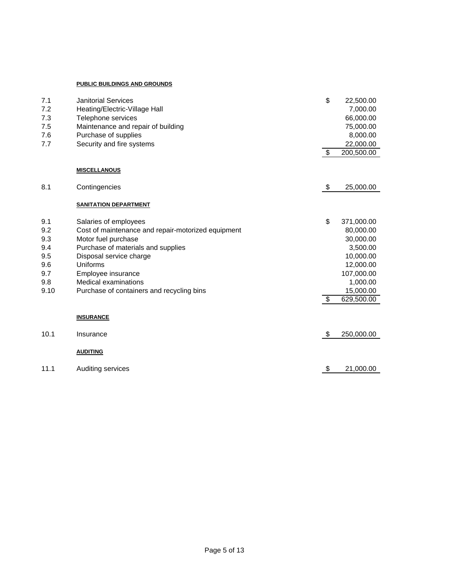#### **PUBLIC BUILDINGS AND GROUNDS**

| 7.1<br>7.2<br>7.3<br>7.5<br>7.6 | <b>Janitorial Services</b><br>Heating/Electric-Village Hall<br>Telephone services<br>Maintenance and repair of building<br>Purchase of supplies | \$            | 22,500.00<br>7,000.00<br>66,000.00<br>75,000.00<br>8,000.00 |
|---------------------------------|-------------------------------------------------------------------------------------------------------------------------------------------------|---------------|-------------------------------------------------------------|
| 7.7                             | Security and fire systems                                                                                                                       | \$            | 22,000.00<br>200,500.00                                     |
|                                 | <b>MISCELLANOUS</b>                                                                                                                             |               |                                                             |
| 8.1                             | Contingencies                                                                                                                                   | $\sqrt[6]{3}$ | 25,000.00                                                   |
|                                 | <b>SANITATION DEPARTMENT</b>                                                                                                                    |               |                                                             |
| 9.1                             | Salaries of employees                                                                                                                           | \$            | 371,000.00                                                  |
| 9.2                             | Cost of maintenance and repair-motorized equipment                                                                                              |               | 80,000.00                                                   |
| 9.3                             | Motor fuel purchase                                                                                                                             |               | 30,000.00                                                   |
| 9.4                             | Purchase of materials and supplies                                                                                                              |               | 3,500.00                                                    |
| 9.5                             | Disposal service charge                                                                                                                         |               | 10,000.00                                                   |
| 9.6                             | Uniforms                                                                                                                                        |               | 12,000.00                                                   |
| 9.7                             | Employee insurance                                                                                                                              |               | 107,000.00                                                  |
| 9.8                             | <b>Medical examinations</b>                                                                                                                     |               | 1,000.00                                                    |
| 9.10                            | Purchase of containers and recycling bins                                                                                                       |               | 15,000.00                                                   |
|                                 |                                                                                                                                                 | \$            | 629,500.00                                                  |
|                                 | <b>INSURANCE</b>                                                                                                                                |               |                                                             |
| 10.1                            | Insurance                                                                                                                                       | $\frac{1}{2}$ | 250,000.00                                                  |
|                                 | <b>AUDITING</b>                                                                                                                                 |               |                                                             |
| 11.1                            | Auditing services                                                                                                                               | \$            | 21,000.00                                                   |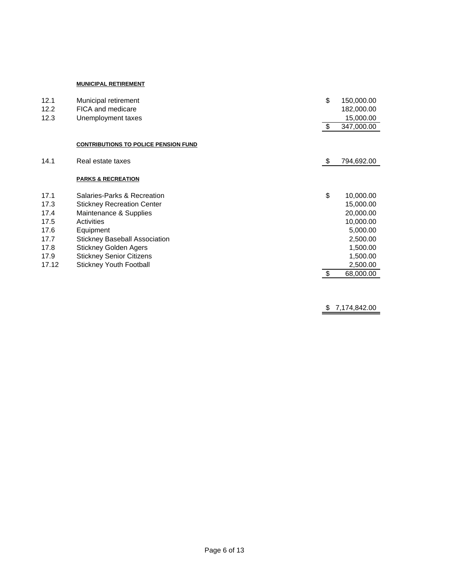#### **MUNICIPAL RETIREMENT**

| 12.1  | Municipal retirement                        | \$<br>150,000.00 |
|-------|---------------------------------------------|------------------|
| 12.2  | FICA and medicare                           | 182,000.00       |
| 12.3  | Unemployment taxes                          | 15,000.00        |
|       |                                             | \$<br>347,000.00 |
|       | <b>CONTRIBUTIONS TO POLICE PENSION FUND</b> |                  |
| 14.1  | Real estate taxes                           | \$<br>794,692.00 |
|       | <b>PARKS &amp; RECREATION</b>               |                  |
| 17.1  | Salaries-Parks & Recreation                 | \$<br>10,000.00  |
| 17.3  | <b>Stickney Recreation Center</b>           | 15,000.00        |
| 17.4  | Maintenance & Supplies                      | 20,000.00        |
| 17.5  | Activities                                  | 10,000.00        |
| 17.6  | Equipment                                   | 5,000.00         |
| 17.7  | <b>Stickney Baseball Association</b>        | 2,500.00         |
| 17.8  | <b>Stickney Golden Agers</b>                | 1,500.00         |
| 17.9  | <b>Stickney Senior Citizens</b>             | 1,500.00         |
| 17.12 | <b>Stickney Youth Football</b>              | 2,500.00         |
|       |                                             | \$<br>68,000.00  |

 $\frac{$7,174,842.00}{1}$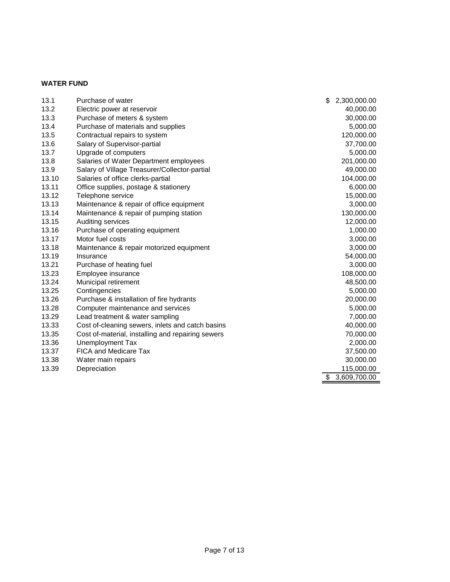### **WATER FUND**

| 13.1  | Purchase of water                                 | \$<br>2,300,000.00 |
|-------|---------------------------------------------------|--------------------|
| 13.2  | Electric power at reservoir                       | 40,000.00          |
| 13.3  | Purchase of meters & system                       | 30,000.00          |
| 13.4  | Purchase of materials and supplies                | 5,000.00           |
| 13.5  | Contractual repairs to system                     | 120,000.00         |
| 13.6  | Salary of Supervisor-partial                      | 37,700.00          |
| 13.7  | Upgrade of computers                              | 5,000.00           |
| 13.8  | Salaries of Water Department employees            | 201,000.00         |
| 13.9  | Salary of Village Treasurer/Collector-partial     | 49,000.00          |
| 13.10 | Salaries of office clerks-partial                 | 104,000.00         |
| 13.11 | Office supplies, postage & stationery             | 6,000.00           |
| 13.12 | Telephone service                                 | 15,000.00          |
| 13.13 | Maintenance & repair of office equipment          | 3,000.00           |
| 13.14 | Maintenance & repair of pumping station           | 130,000.00         |
| 13.15 | Auditing services                                 | 12,000.00          |
| 13.16 | Purchase of operating equipment                   | 1,000.00           |
| 13.17 | Motor fuel costs                                  | 3,000.00           |
| 13.18 | Maintenance & repair motorized equipment          | 3,000.00           |
| 13.19 | Insurance                                         | 54,000.00          |
| 13.21 | Purchase of heating fuel                          | 3,000.00           |
| 13.23 | Employee insurance                                | 108,000.00         |
| 13.24 | Municipal retirement                              | 48,500.00          |
| 13.25 | Contingencies                                     | 5,000.00           |
| 13.26 | Purchase & installation of fire hydrants          | 20,000.00          |
| 13.28 | Computer maintenance and services                 | 5,000.00           |
| 13.29 | Lead treatment & water sampling                   | 7,000.00           |
| 13.33 | Cost of-cleaning sewers, inlets and catch basins  | 40,000.00          |
| 13.35 | Cost of-material, installing and repairing sewers | 70,000.00          |
| 13.36 | Unemployment Tax                                  | 2,000.00           |
| 13.37 | <b>FICA and Medicare Tax</b>                      | 37,500.00          |
| 13.38 | Water main repairs                                | 30,000.00          |
| 13.39 | Depreciation                                      | 115,000.00         |
|       |                                                   | \$<br>3,609,700.00 |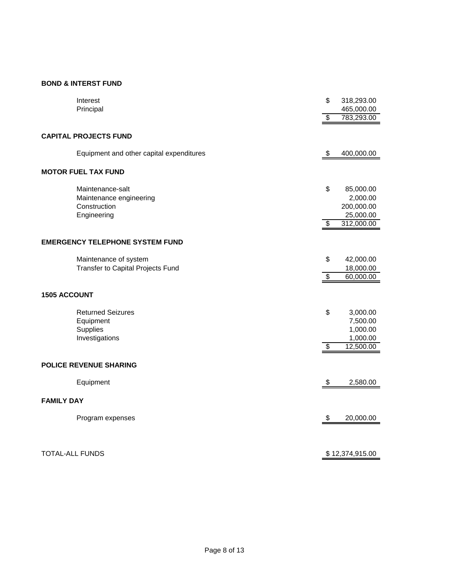### **BOND & INTERST FUND**

|                        | Interest                                 | \$                      | 318,293.00      |
|------------------------|------------------------------------------|-------------------------|-----------------|
|                        | Principal                                |                         | 465,000.00      |
|                        |                                          |                         |                 |
|                        |                                          | \$                      | 783,293.00      |
|                        |                                          |                         |                 |
|                        | <b>CAPITAL PROJECTS FUND</b>             |                         |                 |
|                        |                                          |                         |                 |
|                        | Equipment and other capital expenditures | \$                      | 400,000.00      |
|                        | <b>MOTOR FUEL TAX FUND</b>               |                         |                 |
|                        |                                          |                         |                 |
|                        | Maintenance-salt                         | \$                      | 85,000.00       |
|                        | Maintenance engineering                  |                         | 2,000.00        |
|                        | Construction                             |                         | 200,000.00      |
|                        | Engineering                              |                         | 25,000.00       |
|                        |                                          | $\overline{\$}$         | 312,000.00      |
|                        |                                          |                         |                 |
|                        |                                          |                         |                 |
|                        | <b>EMERGENCY TELEPHONE SYSTEM FUND</b>   |                         |                 |
|                        | Maintenance of system                    | \$                      | 42,000.00       |
|                        | Transfer to Capital Projects Fund        |                         | 18,000.00       |
|                        |                                          | $\overline{\$}$         | 60,000.00       |
|                        |                                          |                         |                 |
| <b>1505 ACCOUNT</b>    |                                          |                         |                 |
|                        |                                          |                         |                 |
|                        | <b>Returned Seizures</b>                 | \$                      | 3,000.00        |
|                        |                                          |                         |                 |
|                        | Equipment                                |                         | 7,500.00        |
|                        | Supplies                                 |                         | 1,000.00        |
|                        | Investigations                           |                         | 1,000.00        |
|                        |                                          | $\overline{\$}$         | 12,500.00       |
|                        |                                          |                         |                 |
|                        | <b>POLICE REVENUE SHARING</b>            |                         |                 |
|                        |                                          |                         |                 |
|                        | Equipment                                | \$                      | 2,580.00        |
|                        |                                          |                         |                 |
| <b>FAMILY DAY</b>      |                                          |                         |                 |
|                        | Program expenses                         | $\sqrt[6]{\frac{1}{2}}$ | 20,000.00       |
|                        |                                          |                         |                 |
|                        |                                          |                         |                 |
|                        |                                          |                         |                 |
| <b>TOTAL-ALL FUNDS</b> |                                          |                         | \$12,374,915.00 |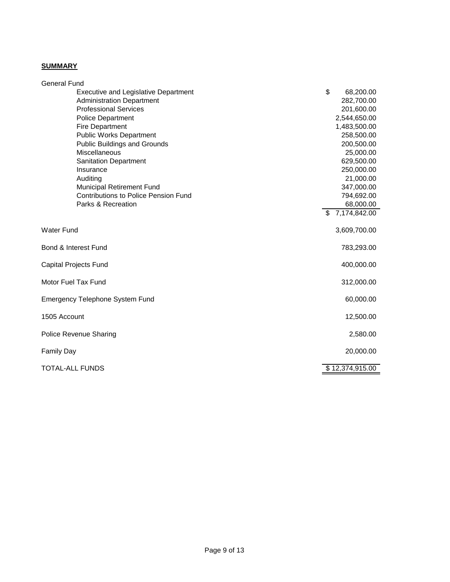## **SUMMARY**

| <b>General Fund</b>                         |                    |
|---------------------------------------------|--------------------|
| <b>Executive and Legislative Department</b> | \$<br>68,200.00    |
| <b>Administration Department</b>            | 282,700.00         |
| <b>Professional Services</b>                | 201,600.00         |
| <b>Police Department</b>                    | 2,544,650.00       |
| <b>Fire Department</b>                      | 1,483,500.00       |
| <b>Public Works Department</b>              | 258,500.00         |
| <b>Public Buildings and Grounds</b>         | 200,500.00         |
| Miscellaneous                               | 25,000.00          |
| <b>Sanitation Department</b>                | 629,500.00         |
| Insurance                                   | 250,000.00         |
| Auditing                                    | 21,000.00          |
| Municipal Retirement Fund                   | 347,000.00         |
| <b>Contributions to Police Pension Fund</b> | 794,692.00         |
| Parks & Recreation                          | 68,000.00          |
|                                             | 7,174,842.00<br>\$ |
|                                             |                    |
| <b>Water Fund</b>                           | 3,609,700.00       |
| Bond & Interest Fund                        | 783,293.00         |
| Capital Projects Fund                       | 400,000.00         |
| Motor Fuel Tax Fund                         | 312,000.00         |
| <b>Emergency Telephone System Fund</b>      | 60,000.00          |
| 1505 Account                                | 12,500.00          |
| Police Revenue Sharing                      | 2,580.00           |
| <b>Family Day</b>                           | 20,000.00          |
| <b>TOTAL-ALL FUNDS</b>                      | \$12,374,915.00    |
|                                             |                    |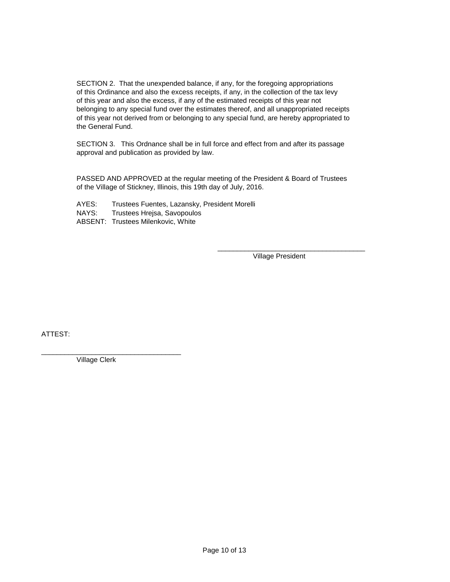SECTION 2. That the unexpended balance, if any, for the foregoing appropriations of this Ordinance and also the excess receipts, if any, in the collection of the tax levy of this year and also the excess, if any of the estimated receipts of this year not belonging to any special fund over the estimates thereof, and all unappropriated receipts of this year not derived from or belonging to any special fund, are hereby appropriated to the General Fund.

SECTION 3. This Ordnance shall be in full force and effect from and after its passage approval and publication as provided by law.

PASSED AND APPROVED at the regular meeting of the President & Board of Trustees of the Village of Stickney, Illinois, this 19th day of July, 2016.

- AYES: Trustees Fuentes, Lazansky, President Morelli<br>NAYS: Trustees Hreisa. Savopoulos
- Trustees Hrejsa, Savopoulos
- ABSENT: Trustees Milenkovic, White

\_\_\_\_\_\_\_\_\_\_\_\_\_\_\_\_\_\_\_\_\_\_\_\_\_\_\_\_\_\_\_\_\_\_\_\_\_\_ Village President

ATTEST:

\_\_\_\_\_\_\_\_\_\_\_\_\_\_\_\_\_\_\_\_\_\_\_\_\_\_\_\_\_\_\_\_\_\_\_\_ Village Clerk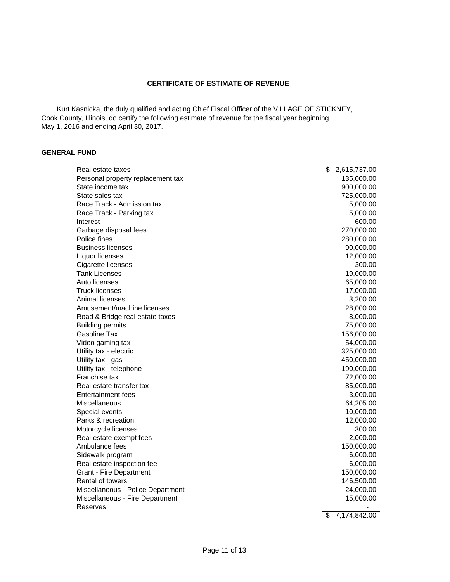#### **CERTIFICATE OF ESTIMATE OF REVENUE**

 I, Kurt Kasnicka, the duly qualified and acting Chief Fiscal Officer of the VILLAGE OF STICKNEY, Cook County, Illinois, do certify the following estimate of revenue for the fiscal year beginning May 1, 2016 and ending April 30, 2017.

#### **GENERAL FUND**

| Real estate taxes                 | \$<br>2,615,737.00 |
|-----------------------------------|--------------------|
| Personal property replacement tax | 135,000.00         |
| State income tax                  | 900,000.00         |
| State sales tax                   | 725,000.00         |
| Race Track - Admission tax        | 5,000.00           |
| Race Track - Parking tax          | 5,000.00           |
| Interest                          | 600.00             |
| Garbage disposal fees             | 270,000.00         |
| Police fines                      | 280,000.00         |
| <b>Business licenses</b>          | 90,000.00          |
| Liquor licenses                   | 12,000.00          |
| Cigarette licenses                | 300.00             |
| <b>Tank Licenses</b>              | 19,000.00          |
| Auto licenses                     | 65,000.00          |
| <b>Truck licenses</b>             | 17,000.00          |
| Animal licenses                   | 3,200.00           |
| Amusement/machine licenses        | 28,000.00          |
| Road & Bridge real estate taxes   | 8,000.00           |
| <b>Building permits</b>           | 75,000.00          |
| Gasoline Tax                      | 156,000.00         |
| Video gaming tax                  | 54,000.00          |
| Utility tax - electric            | 325,000.00         |
| Utility tax - gas                 | 450,000.00         |
| Utility tax - telephone           | 190,000.00         |
| Franchise tax                     | 72,000.00          |
| Real estate transfer tax          | 85,000.00          |
| Entertainment fees                | 3,000.00           |
| Miscellaneous                     | 64,205.00          |
| Special events                    | 10,000.00          |
| Parks & recreation                | 12,000.00          |
| Motorcycle licenses               | 300.00             |
| Real estate exempt fees           | 2,000.00           |
| Ambulance fees                    | 150,000.00         |
| Sidewalk program                  | 6,000.00           |
| Real estate inspection fee        | 6,000.00           |
| <b>Grant - Fire Department</b>    | 150,000.00         |
| Rental of towers                  | 146,500.00         |
| Miscellaneous - Police Department | 24,000.00          |
| Miscellaneous - Fire Department   | 15,000.00          |
| Reserves                          |                    |
|                                   | \$<br>7,174,842.00 |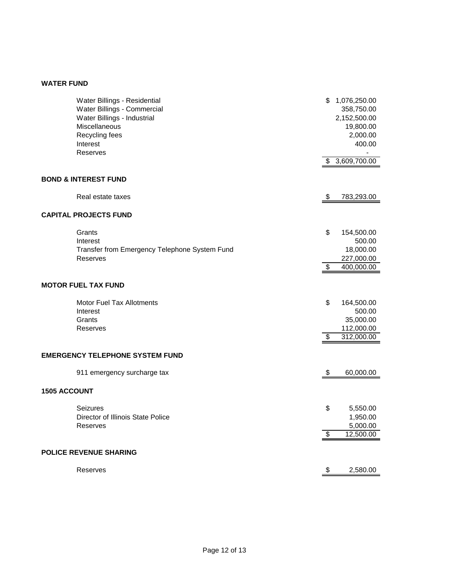## **WATER FUND**

|                     | Water Billings - Residential<br>Water Billings - Commercial<br>Water Billings - Industrial<br>Miscellaneous<br>Recycling fees<br>Interest<br>Reserves | \$       | 1,076,250.00<br>358,750.00<br>2,152,500.00<br>19,800.00<br>2,000.00<br>400.00 |
|---------------------|-------------------------------------------------------------------------------------------------------------------------------------------------------|----------|-------------------------------------------------------------------------------|
|                     |                                                                                                                                                       |          | \$3,609,700.00                                                                |
|                     | <b>BOND &amp; INTEREST FUND</b>                                                                                                                       |          |                                                                               |
|                     | Real estate taxes                                                                                                                                     | \$       | 783,293.00                                                                    |
|                     | <b>CAPITAL PROJECTS FUND</b>                                                                                                                          |          |                                                                               |
|                     | Grants<br>Interest<br>Transfer from Emergency Telephone System Fund<br>Reserves                                                                       | \$       | 154,500.00<br>500.00<br>18,000.00<br>227,000.00                               |
|                     |                                                                                                                                                       | \$       | 400,000.00                                                                    |
|                     | <b>MOTOR FUEL TAX FUND</b>                                                                                                                            |          |                                                                               |
|                     | <b>Motor Fuel Tax Allotments</b><br>Interest<br>Grants<br>Reserves                                                                                    | \$<br>\$ | 164,500.00<br>500.00<br>35,000.00<br>112,000.00<br>312,000.00                 |
|                     | <b>EMERGENCY TELEPHONE SYSTEM FUND</b>                                                                                                                |          |                                                                               |
|                     | 911 emergency surcharge tax                                                                                                                           | \$       | 60,000.00                                                                     |
| <b>1505 ACCOUNT</b> |                                                                                                                                                       |          |                                                                               |
|                     | <b>Seizures</b><br>Director of Illinois State Police<br>Reserves                                                                                      | \$       | 5,550.00<br>1,950.00<br>5,000.00                                              |
|                     |                                                                                                                                                       | \$       | 12,500.00                                                                     |
|                     | <b>POLICE REVENUE SHARING</b>                                                                                                                         |          |                                                                               |
|                     | Reserves                                                                                                                                              | \$       | 2,580.00                                                                      |
|                     |                                                                                                                                                       |          |                                                                               |